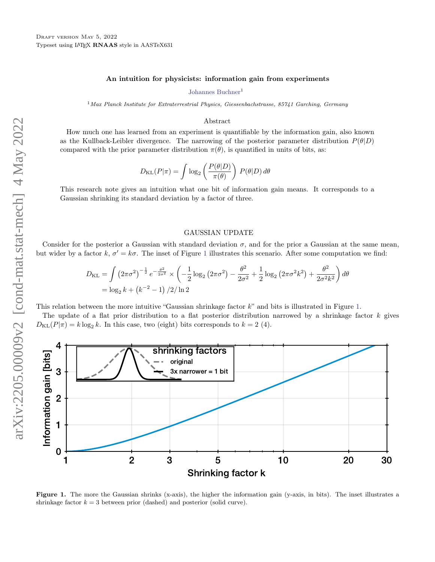## An intuition for physicists: information gain from experiments

[Johannes Buchner](http://orcid.org/0000-0003-0426-6634)<sup>1</sup>

 $1$ Max Planck Institute for Extraterrestrial Physics, Giessenbachstrasse, 85741 Garching, Germany

### Abstract

How much one has learned from an experiment is quantifiable by the information gain, also known as the Kullback-Leibler divergence. The narrowing of the posterior parameter distribution  $P(\theta|D)$ compared with the prior parameter distribution  $\pi(\theta)$ , is quantified in units of bits, as:

$$
D_{\text{KL}}(P|\pi) = \int \log_2\left(\frac{P(\theta|D)}{\pi(\theta)}\right) P(\theta|D) d\theta
$$

This research note gives an intuition what one bit of information gain means. It corresponds to a Gaussian shrinking its standard deviation by a factor of three.

### GAUSSIAN UPDATE

Consider for the posterior a Gaussian with standard deviation  $\sigma$ , and for the prior a Gaussian at the same mean, but wider by a factor  $k, \sigma' = k\sigma$ . The inset of Figure [1](#page-0-0) illustrates this scenario. After some computation we find:

$$
D_{\text{KL}} = \int \left(2\pi\sigma^2\right)^{-\frac{1}{2}} e^{-\frac{\theta^2}{2\sigma^2}} \times \left(-\frac{1}{2}\log_2\left(2\pi\sigma^2\right) - \frac{\theta^2}{2\sigma^2} + \frac{1}{2}\log_2\left(2\pi\sigma^2 k^2\right) + \frac{\theta^2}{2\sigma^2 k^2}\right) d\theta
$$
  
=  $\log_2 k + \left(k^{-2} - 1\right)/2/\ln 2$ 

This relation between the more intuitive "Gaussian shrinkage factor  $k$ " and bits is illustrated in Figure [1.](#page-0-0)

The update of a flat prior distribution to a flat posterior distribution narrowed by a shrinkage factor  $k$  gives  $D_{\text{KL}}(P|\pi) = k \log_2 k$ . In this case, two (eight) bits corresponds to  $k = 2$  (4).



<span id="page-0-0"></span>Figure 1. The more the Gaussian shrinks (x-axis), the higher the information gain (y-axis, in bits). The inset illustrates a shrinkage factor  $k = 3$  between prior (dashed) and posterior (solid curve).